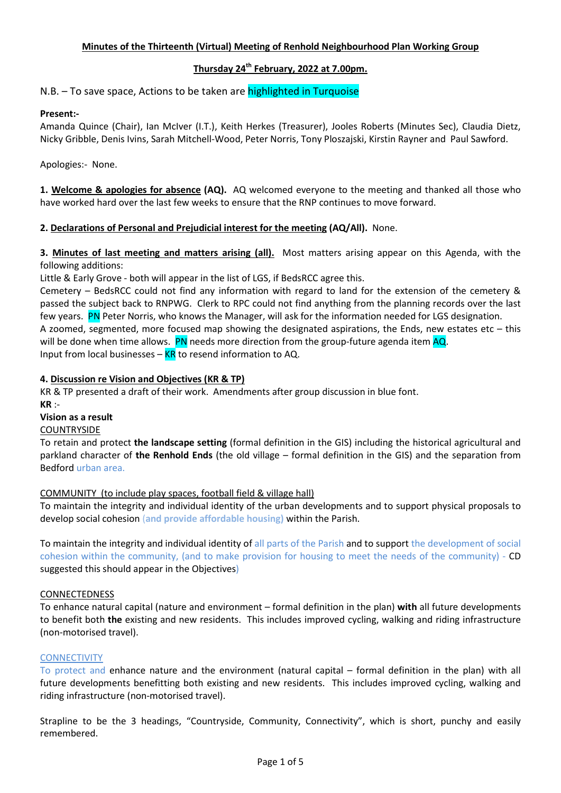## Minutes of the Thirteenth (Virtual) Meeting of Renhold Neighbourhood Plan Working Group

# Thursday 24<sup>th</sup> February, 2022 at 7.00pm.

N.B. – To save space, Actions to be taken are highlighted in Turquoise

### Present:-

Amanda Quince (Chair), Ian McIver (I.T.), Keith Herkes (Treasurer), Jooles Roberts (Minutes Sec), Claudia Dietz, Nicky Gribble, Denis Ivins, Sarah Mitchell-Wood, Peter Norris, Tony Ploszajski, Kirstin Rayner and Paul Sawford.

Apologies:- None.

1. Welcome & apologies for absence (AQ). AQ welcomed everyone to the meeting and thanked all those who have worked hard over the last few weeks to ensure that the RNP continues to move forward.

### 2. Declarations of Personal and Prejudicial interest for the meeting (AQ/All). None.

3. Minutes of last meeting and matters arising (all). Most matters arising appear on this Agenda, with the following additions:

Little & Early Grove - both will appear in the list of LGS, if BedsRCC agree this.

Cemetery – BedsRCC could not find any information with regard to land for the extension of the cemetery & passed the subject back to RNPWG. Clerk to RPC could not find anything from the planning records over the last few years. PN Peter Norris, who knows the Manager, will ask for the information needed for LGS designation. A zoomed, segmented, more focused map showing the designated aspirations, the Ends, new estates etc – this will be done when time allows. PN needs more direction from the group-future agenda item AQ.

Input from local businesses –  $KR$  to resend information to AQ.

### 4. Discussion re Vision and Objectives (KR & TP)

KR & TP presented a draft of their work. Amendments after group discussion in blue font. KR :-

Vision as a result

**COUNTRYSIDE** 

To retain and protect the landscape setting (formal definition in the GIS) including the historical agricultural and parkland character of the Renhold Ends (the old village – formal definition in the GIS) and the separation from Bedford urban area.

### COMMUNITY (to include play spaces, football field & village hall)

To maintain the integrity and individual identity of the urban developments and to support physical proposals to develop social cohesion (and provide affordable housing) within the Parish.

To maintain the integrity and individual identity of all parts of the Parish and to support the development of social cohesion within the community, (and to make provision for housing to meet the needs of the community) - CD suggested this should appear in the Objectives)

### CONNECTEDNESS

To enhance natural capital (nature and environment – formal definition in the plan) with all future developments to benefit both the existing and new residents. This includes improved cycling, walking and riding infrastructure (non-motorised travel).

### **CONNECTIVITY**

To protect and enhance nature and the environment (natural capital – formal definition in the plan) with all future developments benefitting both existing and new residents. This includes improved cycling, walking and riding infrastructure (non-motorised travel).

Strapline to be the 3 headings, "Countryside, Community, Connectivity", which is short, punchy and easily remembered.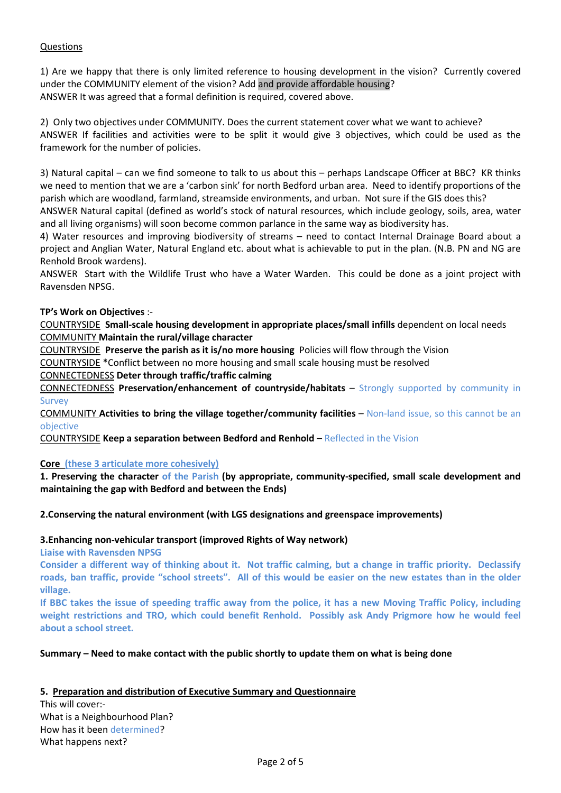# Questions

1) Are we happy that there is only limited reference to housing development in the vision? Currently covered under the COMMUNITY element of the vision? Add and provide affordable housing? ANSWER It was agreed that a formal definition is required, covered above.

2) Only two objectives under COMMUNITY. Does the current statement cover what we want to achieve? ANSWER If facilities and activities were to be split it would give 3 objectives, which could be used as the framework for the number of policies.

3) Natural capital – can we find someone to talk to us about this – perhaps Landscape Officer at BBC? KR thinks we need to mention that we are a 'carbon sink' for north Bedford urban area. Need to identify proportions of the parish which are woodland, farmland, streamside environments, and urban. Not sure if the GIS does this?

ANSWER Natural capital (defined as world's stock of natural resources, which include geology, soils, area, water and all living organisms) will soon become common parlance in the same way as biodiversity has.

4) Water resources and improving biodiversity of streams – need to contact Internal Drainage Board about a project and Anglian Water, Natural England etc. about what is achievable to put in the plan. (N.B. PN and NG are Renhold Brook wardens).

ANSWER Start with the Wildlife Trust who have a Water Warden. This could be done as a joint project with Ravensden NPSG.

### TP's Work on Objectives :-

COUNTRYSIDE Small-scale housing development in appropriate places/small infills dependent on local needs COMMUNITY Maintain the rural/village character

COUNTRYSIDE Preserve the parish as it is/no more housing Policies will flow through the Vision COUNTRYSIDE \*Conflict between no more housing and small scale housing must be resolved

CONNECTEDNESS Deter through traffic/traffic calming

CONNECTEDNESS Preservation/enhancement of countryside/habitats – Strongly supported by community in Survey

COMMUNITY Activities to bring the village together/community facilities – Non-land issue, so this cannot be an objective

COUNTRYSIDE Keep a separation between Bedford and Renhold – Reflected in the Vision

### Core (these 3 articulate more cohesively)

1. Preserving the character of the Parish (by appropriate, community-specified, small scale development and maintaining the gap with Bedford and between the Ends)

### 2.Conserving the natural environment (with LGS designations and greenspace improvements)

### 3.Enhancing non-vehicular transport (improved Rights of Way network)

Liaise with Ravensden NPSG

Consider a different way of thinking about it. Not traffic calming, but a change in traffic priority. Declassify roads, ban traffic, provide "school streets". All of this would be easier on the new estates than in the older village.

If BBC takes the issue of speeding traffic away from the police, it has a new Moving Traffic Policy, including weight restrictions and TRO, which could benefit Renhold. Possibly ask Andy Prigmore how he would feel about a school street.

### Summary – Need to make contact with the public shortly to update them on what is being done

### 5. Preparation and distribution of Executive Summary and Questionnaire

This will cover:- What is a Neighbourhood Plan? How has it been determined? What happens next?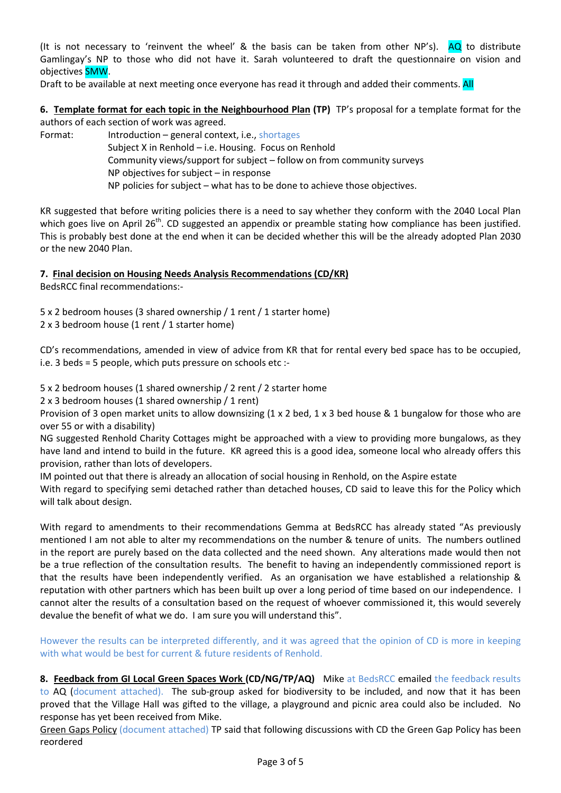(It is not necessary to 'reinvent the wheel' & the basis can be taken from other  $NP's$ ). AQ to distribute Gamlingay's NP to those who did not have it. Sarah volunteered to draft the questionnaire on vision and objectives SMW.

Draft to be available at next meeting once everyone has read it through and added their comments. All

6. Template format for each topic in the Neighbourhood Plan (TP) TP's proposal for a template format for the authors of each section of work was agreed.

Format: Introduction – general context, i.e., shortages Subject X in Renhold – i.e. Housing. Focus on Renhold Community views/support for subject – follow on from community surveys NP objectives for subject – in response NP policies for subject – what has to be done to achieve those objectives.

KR suggested that before writing policies there is a need to say whether they conform with the 2040 Local Plan which goes live on April 26<sup>th</sup>. CD suggested an appendix or preamble stating how compliance has been justified. This is probably best done at the end when it can be decided whether this will be the already adopted Plan 2030 or the new 2040 Plan.

7. Final decision on Housing Needs Analysis Recommendations (CD/KR)

BedsRCC final recommendations:-

5 x 2 bedroom houses (3 shared ownership / 1 rent / 1 starter home) 2 x 3 bedroom house (1 rent / 1 starter home)

CD's recommendations, amended in view of advice from KR that for rental every bed space has to be occupied, i.e. 3 beds = 5 people, which puts pressure on schools etc :-

5 x 2 bedroom houses (1 shared ownership / 2 rent / 2 starter home

2 x 3 bedroom houses (1 shared ownership / 1 rent)

Provision of 3 open market units to allow downsizing  $(1 \times 2 \text{ bed}, 1 \times 3 \text{ bed} \text{ house} \& 1 \text{ bungalow for those who are})$ over 55 or with a disability)

NG suggested Renhold Charity Cottages might be approached with a view to providing more bungalows, as they have land and intend to build in the future. KR agreed this is a good idea, someone local who already offers this provision, rather than lots of developers.

IM pointed out that there is already an allocation of social housing in Renhold, on the Aspire estate

With regard to specifying semi detached rather than detached houses, CD said to leave this for the Policy which will talk about design.

With regard to amendments to their recommendations Gemma at BedsRCC has already stated "As previously mentioned I am not able to alter my recommendations on the number & tenure of units. The numbers outlined in the report are purely based on the data collected and the need shown. Any alterations made would then not be a true reflection of the consultation results. The benefit to having an independently commissioned report is that the results have been independently verified. As an organisation we have established a relationship & reputation with other partners which has been built up over a long period of time based on our independence. I cannot alter the results of a consultation based on the request of whoever commissioned it, this would severely devalue the benefit of what we do. I am sure you will understand this".

However the results can be interpreted differently, and it was agreed that the opinion of CD is more in keeping with what would be best for current & future residents of Renhold.

8. Feedback from GI Local Green Spaces Work (CD/NG/TP/AQ) Mike at BedsRCC emailed the feedback results to AQ (document attached). The sub-group asked for biodiversity to be included, and now that it has been proved that the Village Hall was gifted to the village, a playground and picnic area could also be included. No response has yet been received from Mike.

Green Gaps Policy (document attached) TP said that following discussions with CD the Green Gap Policy has been reordered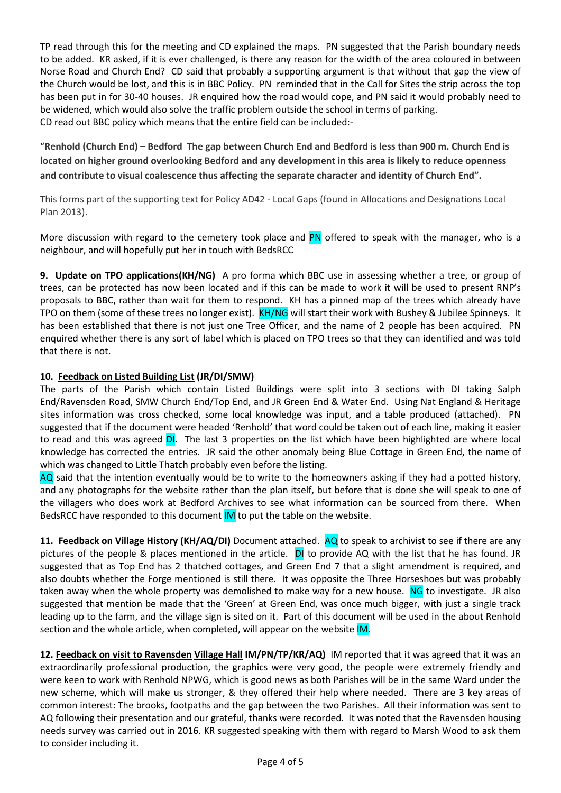TP read through this for the meeting and CD explained the maps. PN suggested that the Parish boundary needs to be added. KR asked, if it is ever challenged, is there any reason for the width of the area coloured in between Norse Road and Church End? CD said that probably a supporting argument is that without that gap the view of the Church would be lost, and this is in BBC Policy. PN reminded that in the Call for Sites the strip across the top has been put in for 30-40 houses. JR enquired how the road would cope, and PN said it would probably need to be widened, which would also solve the traffic problem outside the school in terms of parking. CD read out BBC policy which means that the entire field can be included:-

"Renhold (Church End) – Bedford The gap between Church End and Bedford is less than 900 m. Church End is located on higher ground overlooking Bedford and any development in this area is likely to reduce openness and contribute to visual coalescence thus affecting the separate character and identity of Church End".

This forms part of the supporting text for Policy AD42 - Local Gaps (found in Allocations and Designations Local Plan 2013).

More discussion with regard to the cemetery took place and PN offered to speak with the manager, who is a neighbour, and will hopefully put her in touch with BedsRCC

9. Update on TPO applications(KH/NG) A pro forma which BBC use in assessing whether a tree, or group of trees, can be protected has now been located and if this can be made to work it will be used to present RNP's proposals to BBC, rather than wait for them to respond. KH has a pinned map of the trees which already have TPO on them (some of these trees no longer exist). KH/NG will start their work with Bushey & Jubilee Spinneys. It has been established that there is not just one Tree Officer, and the name of 2 people has been acquired. PN enquired whether there is any sort of label which is placed on TPO trees so that they can identified and was told that there is not.

# 10. Feedback on Listed Building List (JR/DI/SMW)

The parts of the Parish which contain Listed Buildings were split into 3 sections with DI taking Salph End/Ravensden Road, SMW Church End/Top End, and JR Green End & Water End. Using Nat England & Heritage sites information was cross checked, some local knowledge was input, and a table produced (attached). PN suggested that if the document were headed 'Renhold' that word could be taken out of each line, making it easier to read and this was agreed DI. The last 3 properties on the list which have been highlighted are where local knowledge has corrected the entries. JR said the other anomaly being Blue Cottage in Green End, the name of which was changed to Little Thatch probably even before the listing.

AQ said that the intention eventually would be to write to the homeowners asking if they had a potted history, and any photographs for the website rather than the plan itself, but before that is done she will speak to one of the villagers who does work at Bedford Archives to see what information can be sourced from there. When BedsRCC have responded to this document IM to put the table on the website.

11. Feedback on Village History (KH/AQ/DI) Document attached. AQ to speak to archivist to see if there are any pictures of the people & places mentioned in the article. DI to provide AQ with the list that he has found. JR suggested that as Top End has 2 thatched cottages, and Green End 7 that a slight amendment is required, and also doubts whether the Forge mentioned is still there. It was opposite the Three Horseshoes but was probably taken away when the whole property was demolished to make way for a new house. NG to investigate. JR also suggested that mention be made that the 'Green' at Green End, was once much bigger, with just a single track leading up to the farm, and the village sign is sited on it. Part of this document will be used in the about Renhold section and the whole article, when completed, will appear on the website IM.

12. Feedback on visit to Ravensden Village Hall IM/PN/TP/KR/AQ) IM reported that it was agreed that it was an extraordinarily professional production, the graphics were very good, the people were extremely friendly and were keen to work with Renhold NPWG, which is good news as both Parishes will be in the same Ward under the new scheme, which will make us stronger, & they offered their help where needed. There are 3 key areas of common interest: The brooks, footpaths and the gap between the two Parishes. All their information was sent to AQ following their presentation and our grateful, thanks were recorded. It was noted that the Ravensden housing needs survey was carried out in 2016. KR suggested speaking with them with regard to Marsh Wood to ask them to consider including it.